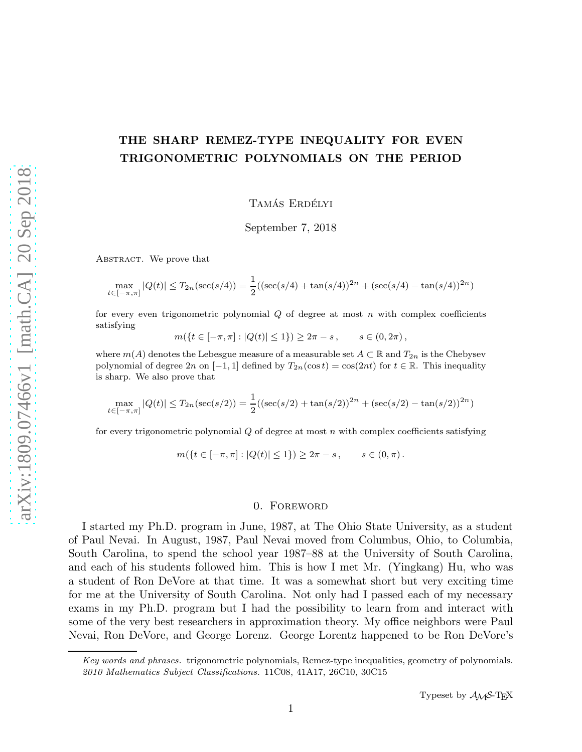# THE SHARP REMEZ-TYPE INEQUALITY FOR EVEN TRIGONOMETRIC POLYNOMIALS ON THE PERIOD

TAMÁS ERDÉLYI

September 7, 2018

ABSTRACT. We prove that

$$
\max_{t \in [-\pi,\pi]} |Q(t)| \le T_{2n}(\sec(s/4)) = \frac{1}{2}((\sec(s/4) + \tan(s/4))^{2n} + (\sec(s/4) - \tan(s/4))^{2n})
$$

for every even trigonometric polynomial  $Q$  of degree at most  $n$  with complex coefficients satisfying

$$
m({t \in [-\pi,\pi]: |Q(t)| \le 1}) \ge 2\pi - s, \qquad s \in (0,2\pi),
$$

where  $m(A)$  denotes the Lebesgue measure of a measurable set  $A \subset \mathbb{R}$  and  $T_{2n}$  is the Chebysev polynomial of degree  $2n$  on  $[-1, 1]$  defined by  $T_{2n}(\cos t) = \cos(2nt)$  for  $t \in \mathbb{R}$ . This inequality is sharp. We also prove that

$$
\max_{t \in [-\pi,\pi]} |Q(t)| \le T_{2n}(\sec(s/2)) = \frac{1}{2}((\sec(s/2) + \tan(s/2))^{2n} + (\sec(s/2) - \tan(s/2))^{2n})
$$

for every trigonometric polynomial  $Q$  of degree at most  $n$  with complex coefficients satisfying

$$
m({t \in [-\pi,\pi]: |Q(t)| \le 1}) \ge 2\pi - s, \qquad s \in (0,\pi).
$$

#### 0. Foreword

I started my Ph.D. program in June, 1987, at The Ohio State University, as a student of Paul Nevai. In August, 1987, Paul Nevai moved from Columbus, Ohio, to Columbia, South Carolina, to spend the school year 1987–88 at the University of South Carolina, and each of his students followed him. This is how I met Mr. (Yingkang) Hu, who was a student of Ron DeVore at that time. It was a somewhat short but very exciting time for me at the University of South Carolina. Not only had I passed each of my necessary exams in my Ph.D. program but I had the possibility to learn from and interact with some of the very best researchers in approximation theory. My office neighbors were Paul Nevai, Ron DeVore, and George Lorenz. George Lorentz happened to be Ron DeVore's

Key words and phrases. trigonometric polynomials, Remez-type inequalities, geometry of polynomials. 2010 Mathematics Subject Classifications. 11C08, 41A17, 26C10, 30C15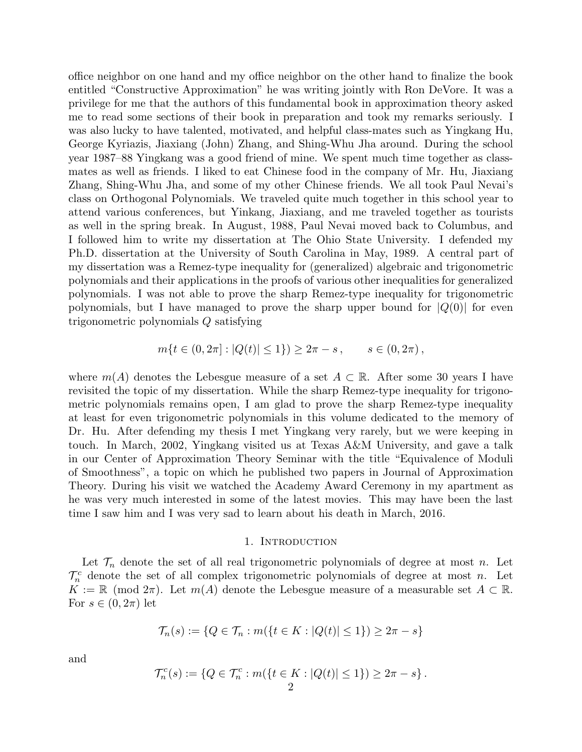office neighbor on one hand and my office neighbor on the other hand to finalize the book entitled "Constructive Approximation" he was writing jointly with Ron DeVore. It was a privilege for me that the authors of this fundamental book in approximation theory asked me to read some sections of their book in preparation and took my remarks seriously. I was also lucky to have talented, motivated, and helpful class-mates such as Yingkang Hu, George Kyriazis, Jiaxiang (John) Zhang, and Shing-Whu Jha around. During the school year 1987–88 Yingkang was a good friend of mine. We spent much time together as classmates as well as friends. I liked to eat Chinese food in the company of Mr. Hu, Jiaxiang Zhang, Shing-Whu Jha, and some of my other Chinese friends. We all took Paul Nevai's class on Orthogonal Polynomials. We traveled quite much together in this school year to attend various conferences, but Yinkang, Jiaxiang, and me traveled together as tourists as well in the spring break. In August, 1988, Paul Nevai moved back to Columbus, and I followed him to write my dissertation at The Ohio State University. I defended my Ph.D. dissertation at the University of South Carolina in May, 1989. A central part of my dissertation was a Remez-type inequality for (generalized) algebraic and trigonometric polynomials and their applications in the proofs of various other inequalities for generalized polynomials. I was not able to prove the sharp Remez-type inequality for trigonometric polynomials, but I have managed to prove the sharp upper bound for  $|Q(0)|$  for even trigonometric polynomials Q satisfying

$$
m\{t \in (0, 2\pi] : |Q(t)| \le 1\}) \ge 2\pi - s, \qquad s \in (0, 2\pi),
$$

where  $m(A)$  denotes the Lebesgue measure of a set  $A \subset \mathbb{R}$ . After some 30 years I have revisited the topic of my dissertation. While the sharp Remez-type inequality for trigonometric polynomials remains open, I am glad to prove the sharp Remez-type inequality at least for even trigonometric polynomials in this volume dedicated to the memory of Dr. Hu. After defending my thesis I met Yingkang very rarely, but we were keeping in touch. In March, 2002, Yingkang visited us at Texas A&M University, and gave a talk in our Center of Approximation Theory Seminar with the title "Equivalence of Moduli of Smoothness", a topic on which he published two papers in Journal of Approximation Theory. During his visit we watched the Academy Award Ceremony in my apartment as he was very much interested in some of the latest movies. This may have been the last time I saw him and I was very sad to learn about his death in March, 2016.

#### 1. Introduction

Let  $\mathcal{T}_n$  denote the set of all real trigonometric polynomials of degree at most n. Let  $\mathcal{T}_n^c$  denote the set of all complex trigonometric polynomials of degree at most n. Let  $K := \mathbb{R} \pmod{2\pi}$ . Let  $m(A)$  denote the Lebesgue measure of a measurable set  $A \subset \mathbb{R}$ . For  $s \in (0, 2\pi)$  let

$$
\mathcal{T}_n(s) := \{ Q \in \mathcal{T}_n : m(\{ t \in K : |Q(t)| \le 1 \}) \ge 2\pi - s \}
$$

and

$$
\mathcal{T}_n^c(s) := \{ Q \in \mathcal{T}_n^c : m(\{ t \in K : |Q(t)| \le 1 \}) \ge 2\pi - s \}.
$$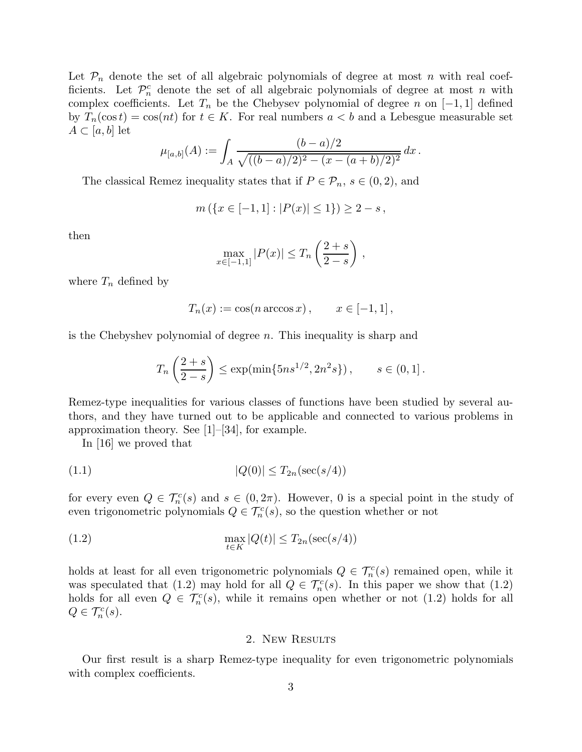Let  $\mathcal{P}_n$  denote the set of all algebraic polynomials of degree at most n with real coefficients. Let  $\mathcal{P}_n^c$  denote the set of all algebraic polynomials of degree at most n with complex coefficients. Let  $T_n$  be the Chebysev polynomial of degree n on [−1, 1] defined by  $T_n(\cos t) = \cos(nt)$  for  $t \in K$ . For real numbers  $a < b$  and a Lebesgue measurable set  $A \subset [a, b]$  let

$$
\mu_{[a,b]}(A) := \int_A \frac{(b-a)/2}{\sqrt{((b-a)/2)^2 - (x - (a+b)/2)^2}} dx.
$$

The classical Remez inequality states that if  $P \in \mathcal{P}_n$ ,  $s \in (0, 2)$ , and

$$
m(\{x \in [-1,1] : |P(x)| \le 1\}) \ge 2 - s,
$$

then

$$
\max_{x \in [-1,1]} |P(x)| \le T_n \left(\frac{2+s}{2-s}\right),
$$

where  $T_n$  defined by

$$
T_n(x) := \cos(n \arccos x), \qquad x \in [-1, 1],
$$

is the Chebyshev polynomial of degree n. This inequality is sharp and

$$
T_n\left(\frac{2+s}{2-s}\right) \le \exp(\min\{5ns^{1/2}, 2n^2s\}), \qquad s \in (0,1].
$$

Remez-type inequalities for various classes of functions have been studied by several authors, and they have turned out to be applicable and connected to various problems in approximation theory. See [1]–[34], for example.

In [16] we proved that

$$
|Q(0)| \le T_{2n}(\sec(s/4))
$$

for every even  $Q \in \mathcal{T}_n^c(s)$  and  $s \in (0, 2\pi)$ . However, 0 is a special point in the study of even trigonometric polynomials  $Q \in \mathcal{T}_n^c(s)$ , so the question whether or not

(1.2) 
$$
\max_{t \in K} |Q(t)| \le T_{2n}(\sec(s/4))
$$

holds at least for all even trigonometric polynomials  $Q \in \mathcal{T}_n^c(s)$  remained open, while it was speculated that  $(1.2)$  may hold for all  $Q \in \mathcal{T}_n^c(s)$ . In this paper we show that  $(1.2)$ holds for all even  $Q \in \mathcal{T}_n^c(s)$ , while it remains open whether or not (1.2) holds for all  $Q \in \mathcal{T}_n^c(s)$ .

### 2. New Results

Our first result is a sharp Remez-type inequality for even trigonometric polynomials with complex coefficients.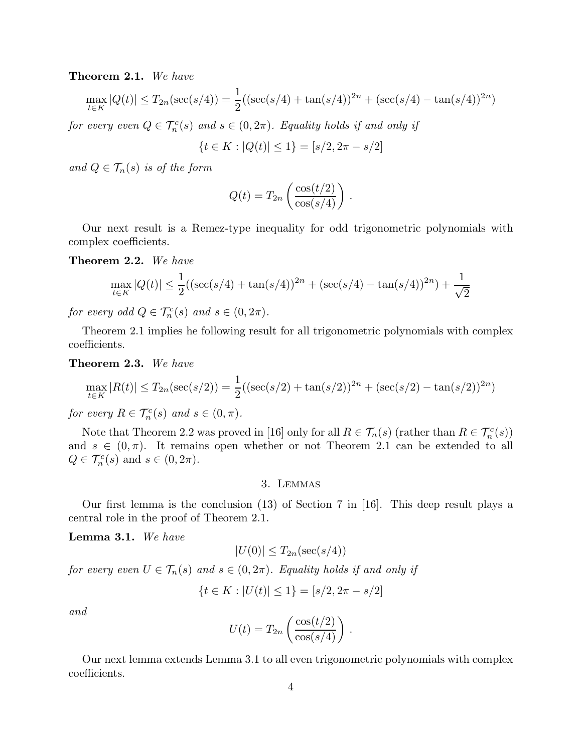Theorem 2.1. We have

$$
\max_{t \in K} |Q(t)| \le T_{2n}(\sec(s/4)) = \frac{1}{2}((\sec(s/4) + \tan(s/4))^{2n} + (\sec(s/4) - \tan(s/4))^{2n})
$$

for every even  $Q \in \mathcal{T}_n^c(s)$  and  $s \in (0, 2\pi)$ . Equality holds if and only if

$$
\{t \in K : |Q(t)| \le 1\} = [s/2, 2\pi - s/2]
$$

and  $Q \in \mathcal{T}_n(s)$  is of the form

$$
Q(t) = T_{2n} \left( \frac{\cos(t/2)}{\cos(s/4)} \right).
$$

Our next result is a Remez-type inequality for odd trigonometric polynomials with complex coefficients.

Theorem 2.2. We have

$$
\max_{t \in K} |Q(t)| \le \frac{1}{2} \left( (\sec(s/4) + \tan(s/4))^{2n} + (\sec(s/4) - \tan(s/4))^{2n} \right) + \frac{1}{\sqrt{2}}
$$

for every odd  $Q \in \mathcal{T}_n^c(s)$  and  $s \in (0, 2\pi)$ .

Theorem 2.1 implies he following result for all trigonometric polynomials with complex coefficients.

Theorem 2.3. We have

$$
\max_{t \in K} |R(t)| \le T_{2n}(\sec(s/2)) = \frac{1}{2}((\sec(s/2) + \tan(s/2))^{2n} + (\sec(s/2) - \tan(s/2))^{2n})
$$

for every  $R \in \mathcal{T}_n^c(s)$  and  $s \in (0, \pi)$ .

Note that Theorem 2.2 was proved in [16] only for all  $R \in \mathcal{T}_n(s)$  (rather than  $R \in \mathcal{T}_n^c(s)$ ) and  $s \in (0, \pi)$ . It remains open whether or not Theorem 2.1 can be extended to all  $Q \in \mathcal{T}_n^c(s)$  and  $s \in (0, 2\pi)$ .

### 3. Lemmas

Our first lemma is the conclusion (13) of Section 7 in [16]. This deep result plays a central role in the proof of Theorem 2.1.

Lemma 3.1. We have

$$
|U(0)| \leq T_{2n}(\sec(s/4))
$$

for every even  $U \in \mathcal{T}_n(s)$  and  $s \in (0, 2\pi)$ . Equality holds if and only if

$$
\{t \in K : |U(t)| \le 1\} = [s/2, 2\pi - s/2]
$$

and

$$
U(t) = T_{2n} \left( \frac{\cos(t/2)}{\cos(s/4)} \right).
$$

Our next lemma extends Lemma 3.1 to all even trigonometric polynomials with complex coefficients.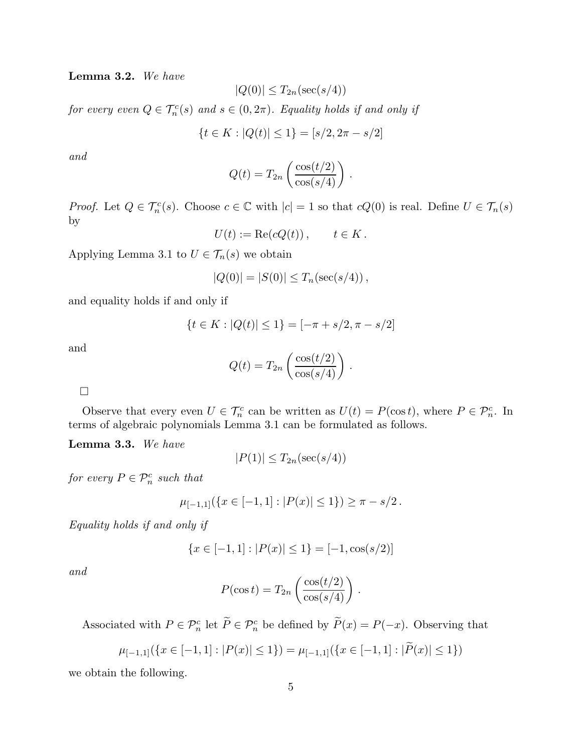Lemma 3.2. We have

$$
|Q(0)| \leq T_{2n}(\sec(s/4))
$$

for every even  $Q \in \mathcal{T}_n^c(s)$  and  $s \in (0, 2\pi)$ . Equality holds if and only if

$$
\{t \in K : |Q(t)| \le 1\} = [s/2, 2\pi - s/2]
$$

and

$$
Q(t) = T_{2n} \left( \frac{\cos(t/2)}{\cos(s/4)} \right).
$$

*Proof.* Let  $Q \in \mathcal{T}_n^c(s)$ . Choose  $c \in \mathbb{C}$  with  $|c| = 1$  so that  $cQ(0)$  is real. Define  $U \in \mathcal{T}_n(s)$ by

$$
U(t) := \text{Re}(cQ(t)), \qquad t \in K.
$$

Applying Lemma 3.1 to  $U \in \mathcal{T}_n(s)$  we obtain

$$
|Q(0)| = |S(0)| \le T_n(\sec(s/4)),
$$

and equality holds if and only if

$$
\{t \in K : |Q(t)| \le 1\} = [-\pi + s/2, \pi - s/2]
$$

and

$$
Q(t) = T_{2n} \left( \frac{\cos(t/2)}{\cos(s/4)} \right).
$$

 $\Box$ 

Observe that every even  $U \in \mathcal{T}_n^c$  can be written as  $U(t) = P(\cos t)$ , where  $P \in \mathcal{P}_n^c$ . In terms of algebraic polynomials Lemma 3.1 can be formulated as follows.

Lemma 3.3. We have

$$
|P(1)| \leq T_{2n}(\sec(s/4))
$$

for every  $P \in \mathcal{P}_n^c$  such that

$$
\mu_{[-1,1]}(\{x \in [-1,1] : |P(x)| \le 1\}) \ge \pi - s/2.
$$

Equality holds if and only if

$$
\{x \in [-1, 1] : |P(x)| \le 1\} = [-1, \cos(s/2)]
$$

and

$$
P(\cos t) = T_{2n} \left( \frac{\cos(t/2)}{\cos(s/4)} \right).
$$

Associated with  $P \in \mathcal{P}_n^c$  let  $\tilde{P} \in \mathcal{P}_n^c$  be defined by  $\tilde{P}(x) = P(-x)$ . Observing that

$$
\mu_{[-1,1]}(\{x \in [-1,1] : |P(x)| \le 1\}) = \mu_{[-1,1]}(\{x \in [-1,1] : |\tilde{P}(x)| \le 1\})
$$

we obtain the following.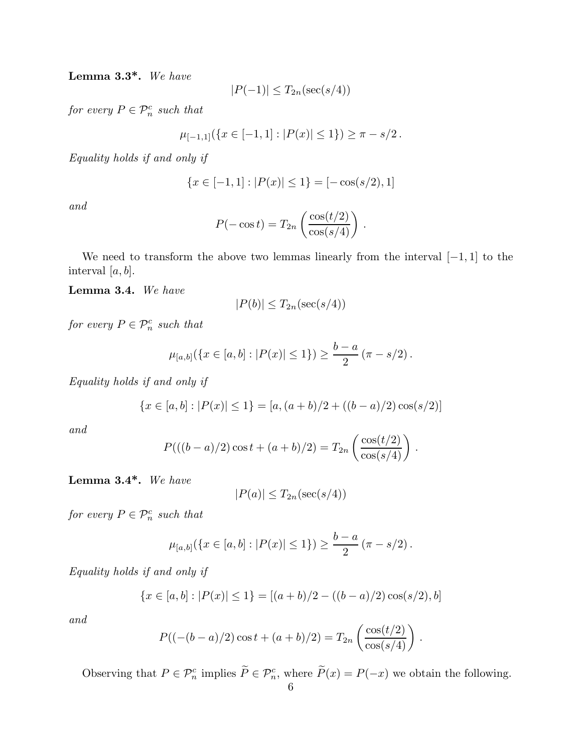Lemma 3.3\*. We have

$$
|P(-1)| \leq T_{2n}(\sec(s/4))
$$

for every  $P \in \mathcal{P}_n^c$  such that

$$
\mu_{[-1,1]}(\{x \in [-1,1] : |P(x)| \le 1\}) \ge \pi - s/2.
$$

Equality holds if and only if

$$
\{x \in [-1, 1] : |P(x)| \le 1\} = [-\cos(s/2), 1]
$$

and

$$
P(-\cos t) = T_{2n} \left( \frac{\cos(t/2)}{\cos(s/4)} \right)
$$

.

We need to transform the above two lemmas linearly from the interval  $[-1, 1]$  to the interval  $[a, b]$ .

# Lemma 3.4. We have

$$
|P(b)| \leq T_{2n}(\sec(s/4))
$$

for every  $P \in \mathcal{P}_n^c$  such that

$$
\mu_{[a,b]}(\{x \in [a,b] : |P(x)| \le 1\}) \ge \frac{b-a}{2} (\pi - s/2).
$$

Equality holds if and only if

$$
\{x \in [a, b] : |P(x)| \le 1\} = [a, (a+b)/2 + ((b-a)/2)\cos(s/2)]
$$

and

$$
P(((b-a)/2)\cos t + (a+b)/2) = T_{2n} \left( \frac{\cos(t/2)}{\cos(s/4)} \right).
$$

Lemma 3.4\*. We have

$$
|P(a)| \leq T_{2n}(\sec(s/4))
$$

for every  $P \in \mathcal{P}_n^c$  such that

$$
\mu_{[a,b]}(\{x \in [a,b] : |P(x)| \le 1\}) \ge \frac{b-a}{2} (\pi - s/2).
$$

Equality holds if and only if

$$
\{x \in [a, b] : |P(x)| \le 1\} = [(a + b)/2 - ((b - a)/2)\cos(s/2), b]
$$

and

$$
P((- (b - a)/2) \cos t + (a + b)/2) = T_{2n} \left( \frac{\cos(t/2)}{\cos(s/4)} \right).
$$

Observing that  $P \in \mathcal{P}_n^c$  implies  $\tilde{P} \in \mathcal{P}_n^c$ , where  $\tilde{P}(x) = P(-x)$  we obtain the following.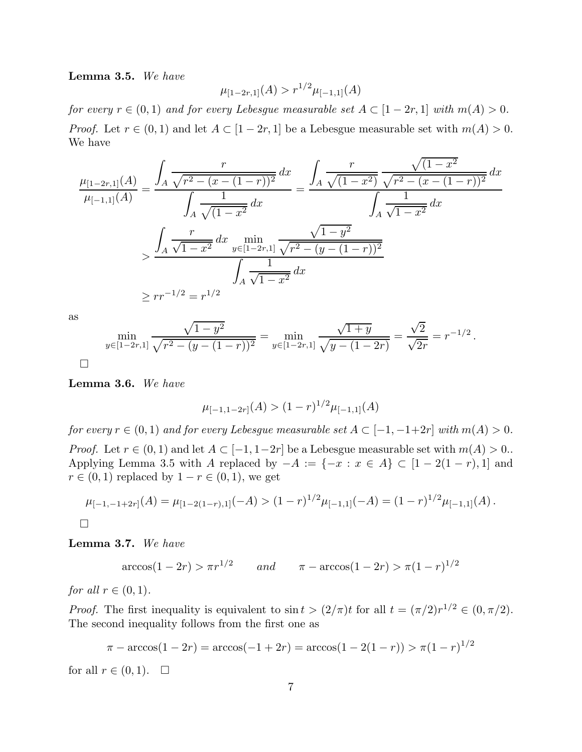Lemma 3.5. We have

$$
\mu_{[1-2r,1]}(A) > r^{1/2}\mu_{[-1,1]}(A)
$$

for every  $r \in (0,1)$  and for every Lebesgue measurable set  $A \subset [1-2r,1]$  with  $m(A) > 0$ . *Proof.* Let  $r \in (0,1)$  and let  $A \subset [1-2r,1]$  be a Lebesgue measurable set with  $m(A) > 0$ . We have

$$
\frac{\mu_{[1-2r,1]}(A)}{\mu_{[-1,1]}(A)} = \frac{\int_A \frac{r}{\sqrt{r^2 - (x - (1 - r))^2}} dx}{\int_A \frac{1}{\sqrt{(1 - x^2)}} dx} = \frac{\int_A \frac{r}{\sqrt{(1 - x^2)}} \frac{\sqrt{(1 - x^2}}{\sqrt{r^2 - (x - (1 - r))^2}} dx}{\int_A \frac{1}{\sqrt{1 - x^2}} dx}
$$

$$
> \frac{\int_A \frac{r}{\sqrt{1 - x^2}} dx \min_{y \in [1 - 2r, 1]} \frac{\sqrt{1 - y^2}}{\sqrt{r^2 - (y - (1 - r))^2}}}{\int_A \frac{1}{\sqrt{1 - x^2}} dx}
$$

$$
\geq r r^{-1/2} = r^{1/2}
$$

as

$$
\min_{y \in [1-2r,1]} \frac{\sqrt{1-y^2}}{\sqrt{r^2 - (y - (1-r))^2}} = \min_{y \in [1-2r,1]} \frac{\sqrt{1+y}}{\sqrt{y - (1-2r)}} = \frac{\sqrt{2}}{\sqrt{2r}} = r^{-1/2}
$$

.

 $\Box$ 

Lemma 3.6. We have

$$
\mu_{[-1,1-2r]}(A) > (1-r)^{1/2} \mu_{[-1,1]}(A)
$$

for every  $r \in (0,1)$  and for every Lebesgue measurable set  $A \subset [-1,-1+2r]$  with  $m(A) > 0$ . *Proof.* Let  $r \in (0,1)$  and let  $A \subset [-1, 1-2r]$  be a Lebesgue measurable set with  $m(A) > 0$ . Applying Lemma 3.5 with A replaced by  $-A := \{-x : x \in A\} \subset [1-2(1-r),1]$  and  $r \in (0,1)$  replaced by  $1-r \in (0,1)$ , we get

$$
\mu_{[-1,-1+2r]}(A) = \mu_{[1-2(1-r),1]}(-A) > (1-r)^{1/2}\mu_{[-1,1]}(-A) = (1-r)^{1/2}\mu_{[-1,1]}(A).
$$

 $\Box$ 

Lemma 3.7. We have

 $\arccos(1-2r) > \pi r^{1/2}$  and  $\pi - \arccos(1-2r) > \pi (1-r)^{1/2}$ 

for all  $r \in (0,1)$ .

*Proof.* The first inequality is equivalent to  $\sin t > (2/\pi)t$  for all  $t = (\pi/2)r^{1/2} \in (0, \pi/2)$ . The second inequality follows from the first one as

$$
\pi - \arccos(1 - 2r) = \arccos(-1 + 2r) = \arccos(1 - 2(1 - r)) > \pi(1 - r)^{1/2}
$$

for all  $r \in (0,1)$ .  $\Box$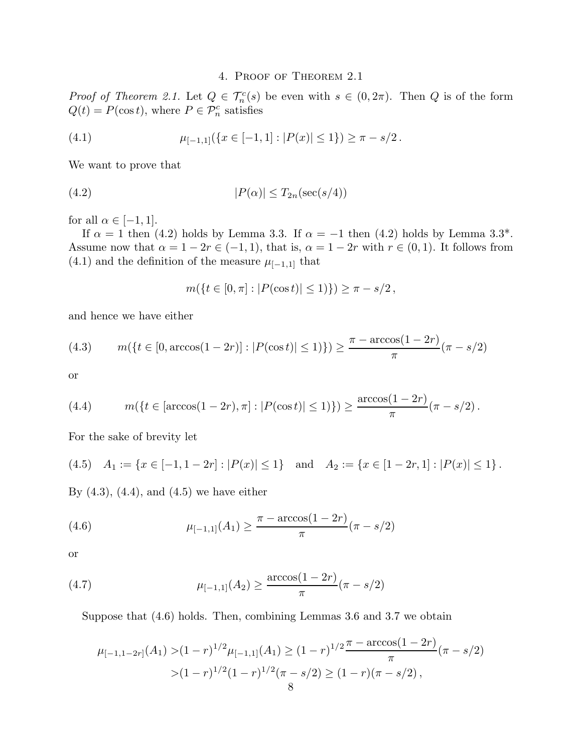## 4. Proof of Theorem 2.1

*Proof of Theorem 2.1.* Let  $Q \in \mathcal{T}_n^c(s)$  be even with  $s \in (0, 2\pi)$ . Then Q is of the form  $Q(t) = P(\cos t)$ , where  $P \in \mathcal{P}_n^c$  satisfies

(4.1) 
$$
\mu_{[-1,1]}(\{x \in [-1,1] : |P(x)| \le 1\}) \ge \pi - s/2.
$$

We want to prove that

$$
(4.2) \t\t\t |P(\alpha)| \le T_{2n}(\sec(s/4))
$$

for all  $\alpha \in [-1, 1]$ .

If  $\alpha = 1$  then (4.2) holds by Lemma 3.3. If  $\alpha = -1$  then (4.2) holds by Lemma 3.3<sup>\*</sup>. Assume now that  $\alpha = 1 - 2r \in (-1, 1)$ , that is,  $\alpha = 1 - 2r$  with  $r \in (0, 1)$ . It follows from (4.1) and the definition of the measure  $\mu_{[-1,1]}$  that

$$
m({t \in [0, \pi] : |P(\cos t)| \le 1}) \ge \pi - s/2,
$$

and hence we have either

(4.3) 
$$
m(\lbrace t \in [0, \arccos(1-2r)] : |P(\cos t)| \le 1) \rbrace) \ge \frac{\pi - \arccos(1-2r)}{\pi} (\pi - s/2)
$$

or

(4.4) 
$$
m(\lbrace t \in [\arccos(1-2r), \pi] : |P(\cos t)| \le 1) \rbrace) \ge \frac{\arccos(1-2r)}{\pi} (\pi - s/2).
$$

For the sake of brevity let

$$
(4.5) \quad A_1 := \{ x \in [-1, 1 - 2r] : |P(x)| \le 1 \} \quad \text{and} \quad A_2 := \{ x \in [1 - 2r, 1] : |P(x)| \le 1 \} \, .
$$

By  $(4.3)$ ,  $(4.4)$ , and  $(4.5)$  we have either

(4.6) 
$$
\mu_{[-1,1]}(A_1) \geq \frac{\pi - \arccos(1 - 2r)}{\pi}(\pi - s/2)
$$

or

(4.7) 
$$
\mu_{[-1,1]}(A_2) \ge \frac{\arccos(1-2r)}{\pi}(\pi - s/2)
$$

Suppose that (4.6) holds. Then, combining Lemmas 3.6 and 3.7 we obtain

$$
\mu_{[-1,1-2r]}(A_1) > (1-r)^{1/2} \mu_{[-1,1]}(A_1) \ge (1-r)^{1/2} \frac{\pi - \arccos(1-2r)}{\pi} (\pi - s/2)
$$
  
>  $(1-r)^{1/2} (1-r)^{1/2} (\pi - s/2) \ge (1-r)(\pi - s/2),$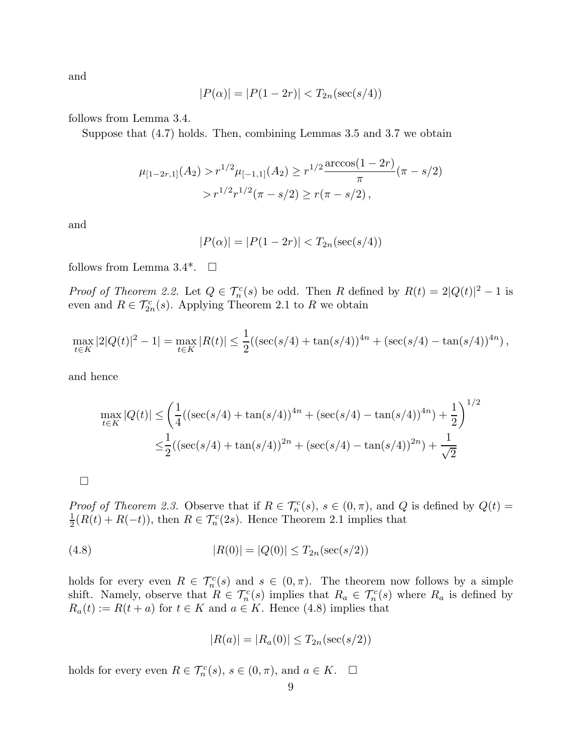and

$$
|P(\alpha)| = |P(1 - 2r)| < T_{2n}(\sec(s/4))
$$

follows from Lemma 3.4.

Suppose that (4.7) holds. Then, combining Lemmas 3.5 and 3.7 we obtain

$$
\mu_{[1-2r,1]}(A_2) > r^{1/2} \mu_{[-1,1]}(A_2) \ge r^{1/2} \frac{\arccos(1-2r)}{\pi} (\pi - s/2)
$$
  
>  $r^{1/2} r^{1/2} (\pi - s/2) \ge r(\pi - s/2),$ 

and

$$
|P(\alpha)| = |P(1 - 2r)| < T_{2n}(\sec(s/4))
$$

follows from Lemma 3.4<sup>\*</sup>.  $\Box$ 

*Proof of Theorem 2.2.* Let  $Q \in \mathcal{T}_n^c(s)$  be odd. Then R defined by  $R(t) = 2|Q(t)|^2 - 1$  is even and  $R \in \mathcal{T}_{2n}^c(s)$ . Applying Theorem 2.1 to R we obtain

$$
\max_{t \in K} |2|Q(t)|^2 - 1| = \max_{t \in K} |R(t)| \le \frac{1}{2} ((\sec(s/4) + \tan(s/4))^{4n} + (\sec(s/4) - \tan(s/4))^{4n}),
$$

and hence

$$
\max_{t \in K} |Q(t)| \le \left(\frac{1}{4} \left( (\sec(s/4) + \tan(s/4))^{4n} + (\sec(s/4) - \tan(s/4))^{4n} \right) + \frac{1}{2} \right)^{1/2}
$$
  

$$
\le \frac{1}{2} \left( (\sec(s/4) + \tan(s/4))^{2n} + (\sec(s/4) - \tan(s/4))^{2n} \right) + \frac{1}{\sqrt{2}}
$$

 $\Box$ 

Proof of Theorem 2.3. Observe that if  $R \in \mathcal{T}_n^c(s)$ ,  $s \in (0, \pi)$ , and Q is defined by  $Q(t) =$ 1  $\frac{1}{2}(R(t) + R(-t))$ , then  $R \in \mathcal{T}_n^c(2s)$ . Hence Theorem 2.1 implies that

(4.8) 
$$
|R(0)| = |Q(0)| \le T_{2n}(\sec(s/2))
$$

holds for every even  $R \in \mathcal{T}_n^c(s)$  and  $s \in (0, \pi)$ . The theorem now follows by a simple shift. Namely, observe that  $R \in \mathcal{T}_n^c(s)$  implies that  $R_a \in \mathcal{T}_n^c(s)$  where  $R_a$  is defined by  $R_a(t) := R(t+a)$  for  $t \in K$  and  $a \in K$ . Hence (4.8) implies that

$$
|R(a)| = |R_a(0)| \le T_{2n}(\sec(s/2))
$$

holds for every even  $R \in \mathcal{T}_n^c(s)$ ,  $s \in (0, \pi)$ , and  $a \in K$ .  $\Box$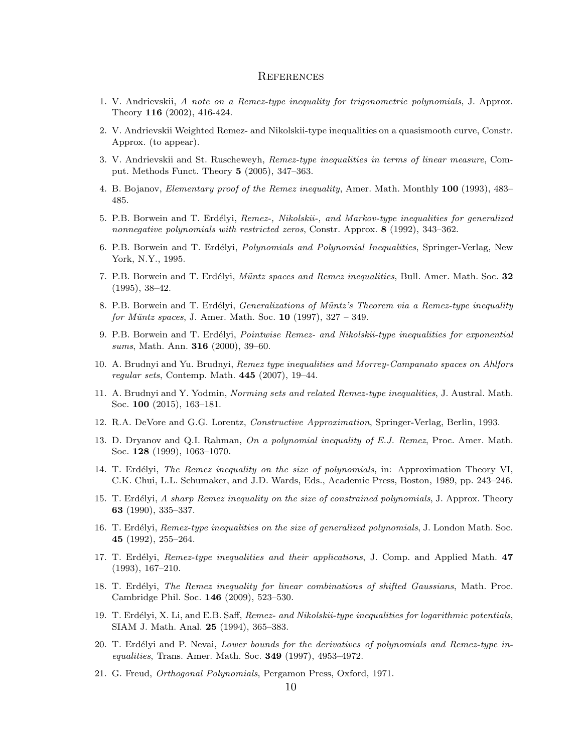#### **REFERENCES**

- 1. V. Andrievskii, A note on a Remez-type inequality for trigonometric polynomials, J. Approx. Theory 116 (2002), 416-424.
- 2. V. Andrievskii Weighted Remez- and Nikolskii-type inequalities on a quasismooth curve, Constr. Approx. (to appear).
- 3. V. Andrievskii and St. Ruscheweyh, Remez-type inequalities in terms of linear measure, Comput. Methods Funct. Theory 5 (2005), 347–363.
- 4. B. Bojanov, Elementary proof of the Remez inequality, Amer. Math. Monthly 100 (1993), 483– 485.
- 5. P.B. Borwein and T. Erdélyi, Remez-, Nikolskii-, and Markov-type inequalities for generalized nonnegative polynomials with restricted zeros, Constr. Approx. 8 (1992), 343–362.
- 6. P.B. Borwein and T. Erdélyi, *Polynomials and Polynomial Inequalities*, Springer-Verlag, New York, N.Y., 1995.
- 7. P.B. Borwein and T. Erdélyi, Müntz spaces and Remez inequalities, Bull. Amer. Math. Soc. 32 (1995), 38–42.
- 8. P.B. Borwein and T. Erdélyi, *Generalizations of Müntz's Theorem via a Remez-type inequality* for Müntz spaces, J. Amer. Math. Soc.  $10$  (1997),  $327 - 349$ .
- 9. P.B. Borwein and T. Erdélyi, Pointwise Remez- and Nikolskii-type inequalities for exponential sums, Math. Ann. 316 (2000), 39–60.
- 10. A. Brudnyi and Yu. Brudnyi, Remez type inequalities and Morrey-Campanato spaces on Ahlfors regular sets, Contemp. Math. 445 (2007), 19–44.
- 11. A. Brudnyi and Y. Yodmin, Norming sets and related Remez-type inequalities, J. Austral. Math. Soc. 100 (2015), 163–181.
- 12. R.A. DeVore and G.G. Lorentz, Constructive Approximation, Springer-Verlag, Berlin, 1993.
- 13. D. Dryanov and Q.I. Rahman, On a polynomial inequality of E.J. Remez, Proc. Amer. Math. Soc. 128 (1999), 1063–1070.
- 14. T. Erdélyi, *The Remez inequality on the size of polynomials*, in: Approximation Theory VI, C.K. Chui, L.L. Schumaker, and J.D. Wards, Eds., Academic Press, Boston, 1989, pp. 243–246.
- 15. T. Erdélyi, A sharp Remez inequality on the size of constrained polynomials, J. Approx. Theory 63 (1990), 335–337.
- 16. T. Erdélyi, Remez-type inequalities on the size of generalized polynomials, J. London Math. Soc. 45 (1992), 255–264.
- 17. T. Erdélyi, Remez-type inequalities and their applications, J. Comp. and Applied Math. 47 (1993), 167–210.
- 18. T. Erdélyi, *The Remez inequality for linear combinations of shifted Gaussians*, Math. Proc. Cambridge Phil. Soc. 146 (2009), 523–530.
- 19. T. Erdélyi, X. Li, and E.B. Saff, Remez- and Nikolskii-type inequalities for logarithmic potentials, SIAM J. Math. Anal. 25 (1994), 365–383.
- 20. T. Erdélyi and P. Nevai, Lower bounds for the derivatives of polynomials and Remez-type inequalities, Trans. Amer. Math. Soc. **349** (1997), 4953-4972.
- 21. G. Freud, Orthogonal Polynomials, Pergamon Press, Oxford, 1971.